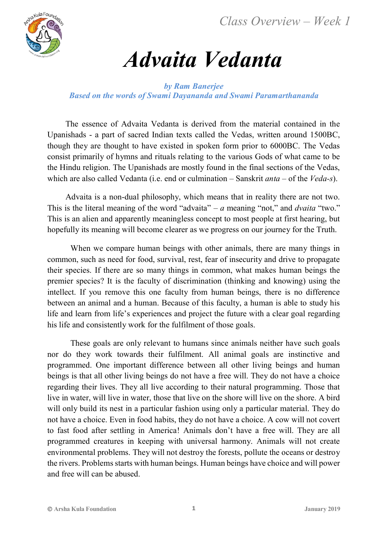*Class Overview – Week 1*



# *Advaita Vedanta*

#### *by Ram Banerjee Based on the words of Swami Dayananda and Swami Paramarthananda*

The essence of Advaita Vedanta is derived from the material contained in the Upanishads - a part of sacred Indian texts called the Vedas, written around 1500BC, though they are thought to have existed in spoken form prior to 6000BC. The Vedas consist primarily of hymns and rituals relating to the various Gods of what came to be the Hindu religion. The Upanishads are mostly found in the final sections of the Vedas, which are also called Vedanta (i.e. end or culmination – Sanskrit *anta* – of the *Veda-s*).

Advaita is a non-dual philosophy, which means that in reality there are not two. This is the literal meaning of the word "advaita" – *a* meaning "not," and *dvaita* "two." This is an alien and apparently meaningless concept to most people at first hearing, but hopefully its meaning will become clearer as we progress on our journey for the Truth.

When we compare human beings with other animals, there are many things in common, such as need for food, survival, rest, fear of insecurity and drive to propagate their species. If there are so many things in common, what makes human beings the premier species? It is the faculty of discrimination (thinking and knowing) using the intellect. If you remove this one faculty from human beings, there is no difference between an animal and a human. Because of this faculty, a human is able to study his life and learn from life's experiences and project the future with a clear goal regarding his life and consistently work for the fulfilment of those goals.

These goals are only relevant to humans since animals neither have such goals nor do they work towards their fulfilment. All animal goals are instinctive and programmed. One important difference between all other living beings and human beings is that all other living beings do not have a free will. They do not have a choice regarding their lives. They all live according to their natural programming. Those that live in water, will live in water, those that live on the shore will live on the shore. A bird will only build its nest in a particular fashion using only a particular material. They do not have a choice. Even in food habits, they do not have a choice. A cow will not covert to fast food after settling in America! Animals don't have a free will. They are all programmed creatures in keeping with universal harmony. Animals will not create environmental problems. They will not destroy the forests, pollute the oceans or destroy the rivers. Problems starts with human beings. Human beings have choice and will power and free will can be abused.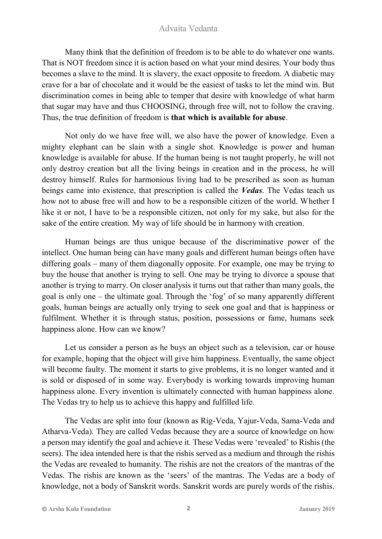Many think that the definition of freedom is to be able to do whatever one wants. That is NOT freedom since it is action based on what your mind desires. Your body thus becomes a slave to the mind. It is slavery, the exact opposite to freedom. A diabetic may crave for a bar of chocolate and it would be the easiest of tasks to let the mind win. But discrimination comes in being able to temper that desire with knowledge of what harm that sugar may have and thus CHOOSING, through free will, not to follow the craving. Thus, the true definition of freedom is **that which is available for abuse**.

Not only do we have free will, we also have the power of knowledge. Even a mighty elephant can be slain with a single shot. Knowledge is power and human knowledge is available for abuse. If the human being is not taught properly, he will not only destroy creation but all the living beings in creation and in the process, he will destroy himself. Rules for harmonious living had to be prescribed as soon as human beings came into existence, that prescription is called the *Vedas*. The Vedas teach us how not to abuse free will and how to be a responsible citizen of the world. Whether I like it or not, I have to be a responsible citizen, not only for my sake, but also for the sake of the entire creation. My way of life should be in harmony with creation.

Human beings are thus unique because of the discriminative power of the intellect. One human being can have many goals and different human beings often have differing goals – many of them diagonally opposite. For example, one may be trying to buy the house that another is trying to sell. One may be trying to divorce a spouse that another is trying to marry. On closer analysis it turns out that rather than many goals, the goal is only one – the ultimate goal. Through the 'fog' of so many apparently different goals, human beings are actually only trying to seek one goal and that is happiness or fulfilment. Whether it is through status, position, possessions or fame, humans seek happiness alone. How can we know?

Let us consider a person as he buys an object such as a television, car or house for example, hoping that the object will give him happiness. Eventually, the same object will become faulty. The moment it starts to give problems, it is no longer wanted and it is sold or disposed of in some way. Everybody is working towards improving human happiness alone. Every invention is ultimately connected with human happiness alone. The Vedas try to help us to achieve this happy and fulfilled life.

The Vedas are split into four (known as Rig-Veda, Yajur-Veda, Sama-Veda and Atharva-Veda). They are called Vedas because they are a source of knowledge on how a person may identify the goal and achieve it. These Vedas were 'revealed' to Rishis (the seers). The idea intended here is that the rishis served as a medium and through the rishis the Vedas are revealed to humanity. The rishis are not the creators of the mantras of the Vedas. The rishis are known as the 'seers' of the mantras. The Vedas are a body of knowledge, not a body of Sanskrit words. Sanskrit words are purely words of the rishis.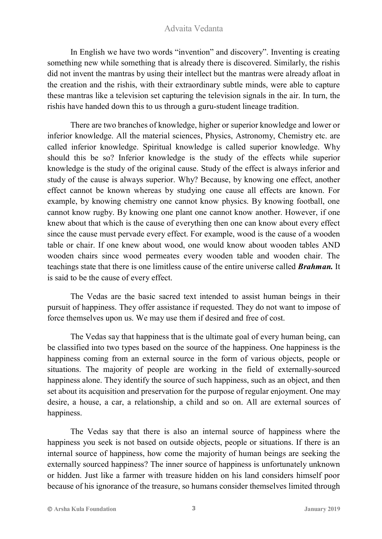In English we have two words "invention" and discovery". Inventing is creating something new while something that is already there is discovered. Similarly, the rishis did not invent the mantras by using their intellect but the mantras were already afloat in the creation and the rishis, with their extraordinary subtle minds, were able to capture these mantras like a television set capturing the television signals in the air. In turn, the rishis have handed down this to us through a guru-student lineage tradition.

There are two branches of knowledge, higher or superior knowledge and lower or inferior knowledge. All the material sciences, Physics, Astronomy, Chemistry etc. are called inferior knowledge. Spiritual knowledge is called superior knowledge. Why should this be so? Inferior knowledge is the study of the effects while superior knowledge is the study of the original cause. Study of the effect is always inferior and study of the cause is always superior. Why? Because, by knowing one effect, another effect cannot be known whereas by studying one cause all effects are known. For example, by knowing chemistry one cannot know physics. By knowing football, one cannot know rugby. By knowing one plant one cannot know another. However, if one knew about that which is the cause of everything then one can know about every effect since the cause must pervade every effect. For example, wood is the cause of a wooden table or chair. If one knew about wood, one would know about wooden tables AND wooden chairs since wood permeates every wooden table and wooden chair. The teachings state that there is one limitless cause of the entire universe called *Brahman.* It is said to be the cause of every effect.

The Vedas are the basic sacred text intended to assist human beings in their pursuit of happiness. They offer assistance if requested. They do not want to impose of force themselves upon us. We may use them if desired and free of cost.

The Vedas say that happiness that is the ultimate goal of every human being, can be classified into two types based on the source of the happiness. One happiness is the happiness coming from an external source in the form of various objects, people or situations. The majority of people are working in the field of externally-sourced happiness alone. They identify the source of such happiness, such as an object, and then set about its acquisition and preservation for the purpose of regular enjoyment. One may desire, a house, a car, a relationship, a child and so on. All are external sources of happiness.

The Vedas say that there is also an internal source of happiness where the happiness you seek is not based on outside objects, people or situations. If there is an internal source of happiness, how come the majority of human beings are seeking the externally sourced happiness? The inner source of happiness is unfortunately unknown or hidden. Just like a farmer with treasure hidden on his land considers himself poor because of his ignorance of the treasure, so humans consider themselves limited through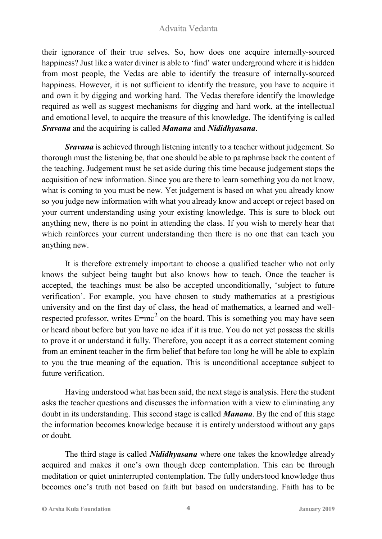their ignorance of their true selves. So, how does one acquire internally-sourced happiness? Just like a water diviner is able to 'find' water underground where it is hidden from most people, the Vedas are able to identify the treasure of internally-sourced happiness. However, it is not sufficient to identify the treasure, you have to acquire it and own it by digging and working hard. The Vedas therefore identify the knowledge required as well as suggest mechanisms for digging and hard work, at the intellectual and emotional level, to acquire the treasure of this knowledge. The identifying is called *Sravana* and the acquiring is called *Manana* and *Nididhyasana*.

*Sravana* is achieved through listening intently to a teacher without judgement. So thorough must the listening be, that one should be able to paraphrase back the content of the teaching. Judgement must be set aside during this time because judgement stops the acquisition of new information. Since you are there to learn something you do not know, what is coming to you must be new. Yet judgement is based on what you already know so you judge new information with what you already know and accept or reject based on your current understanding using your existing knowledge. This is sure to block out anything new, there is no point in attending the class. If you wish to merely hear that which reinforces your current understanding then there is no one that can teach you anything new.

It is therefore extremely important to choose a qualified teacher who not only knows the subject being taught but also knows how to teach. Once the teacher is accepted, the teachings must be also be accepted unconditionally, 'subject to future verification'. For example, you have chosen to study mathematics at a prestigious university and on the first day of class, the head of mathematics, a learned and wellrespected professor, writes  $E=mc^2$  on the board. This is something you may have seen or heard about before but you have no idea if it is true. You do not yet possess the skills to prove it or understand it fully. Therefore, you accept it as a correct statement coming from an eminent teacher in the firm belief that before too long he will be able to explain to you the true meaning of the equation. This is unconditional acceptance subject to future verification.

Having understood what has been said, the next stage is analysis. Here the student asks the teacher questions and discusses the information with a view to eliminating any doubt in its understanding. This second stage is called *Manana*. By the end of this stage the information becomes knowledge because it is entirely understood without any gaps or doubt.

The third stage is called *Nididhyasana* where one takes the knowledge already acquired and makes it one's own though deep contemplation. This can be through meditation or quiet uninterrupted contemplation. The fully understood knowledge thus becomes one's truth not based on faith but based on understanding. Faith has to be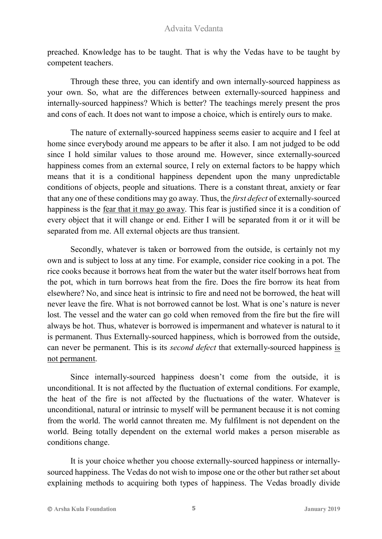preached. Knowledge has to be taught. That is why the Vedas have to be taught by competent teachers.

Through these three, you can identify and own internally-sourced happiness as your own. So, what are the differences between externally-sourced happiness and internally-sourced happiness? Which is better? The teachings merely present the pros and cons of each. It does not want to impose a choice, which is entirely ours to make.

The nature of externally-sourced happiness seems easier to acquire and I feel at home since everybody around me appears to be after it also. I am not judged to be odd since I hold similar values to those around me. However, since externally-sourced happiness comes from an external source, I rely on external factors to be happy which means that it is a conditional happiness dependent upon the many unpredictable conditions of objects, people and situations. There is a constant threat, anxiety or fear that any one of these conditions may go away. Thus, the *first defect* of externally-sourced happiness is the fear that it may go away. This fear is justified since it is a condition of every object that it will change or end. Either I will be separated from it or it will be separated from me. All external objects are thus transient.

Secondly, whatever is taken or borrowed from the outside, is certainly not my own and is subject to loss at any time. For example, consider rice cooking in a pot. The rice cooks because it borrows heat from the water but the water itself borrows heat from the pot, which in turn borrows heat from the fire. Does the fire borrow its heat from elsewhere? No, and since heat is intrinsic to fire and need not be borrowed, the heat will never leave the fire. What is not borrowed cannot be lost. What is one's nature is never lost. The vessel and the water can go cold when removed from the fire but the fire will always be hot. Thus, whatever is borrowed is impermanent and whatever is natural to it is permanent. Thus Externally-sourced happiness, which is borrowed from the outside, can never be permanent. This is its *second defect* that externally-sourced happiness is not permanent.

Since internally-sourced happiness doesn't come from the outside, it is unconditional. It is not affected by the fluctuation of external conditions. For example, the heat of the fire is not affected by the fluctuations of the water. Whatever is unconditional, natural or intrinsic to myself will be permanent because it is not coming from the world. The world cannot threaten me. My fulfilment is not dependent on the world. Being totally dependent on the external world makes a person miserable as conditions change.

It is your choice whether you choose externally-sourced happiness or internallysourced happiness. The Vedas do not wish to impose one or the other but rather set about explaining methods to acquiring both types of happiness. The Vedas broadly divide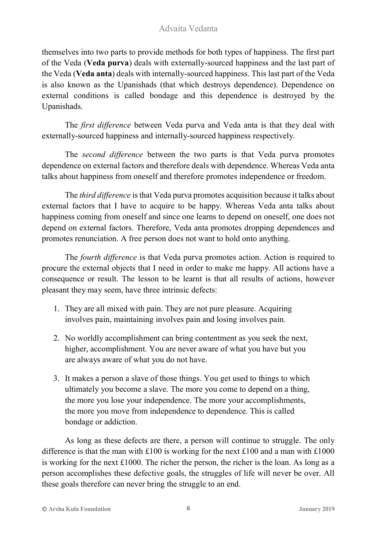themselves into two parts to provide methods for both types of happiness. The first part of the Veda (**Veda purva**) deals with externally-sourced happiness and the last part of the Veda (**Veda anta**) deals with internally-sourced happiness. This last part of the Veda is also known as the Upanishads (that which destroys dependence). Dependence on external conditions is called bondage and this dependence is destroyed by the Upanishads.

The *first difference* between Veda purva and Veda anta is that they deal with externally-sourced happiness and internally-sourced happiness respectively.

The *second difference* between the two parts is that Veda purva promotes dependence on external factors and therefore deals with dependence. Whereas Veda anta talks about happiness from oneself and therefore promotes independence or freedom.

The *third difference* is that Veda purva promotes acquisition because it talks about external factors that I have to acquire to be happy. Whereas Veda anta talks about happiness coming from oneself and since one learns to depend on oneself, one does not depend on external factors. Therefore, Veda anta promotes dropping dependences and promotes renunciation. A free person does not want to hold onto anything.

The *fourth difference* is that Veda purva promotes action. Action is required to procure the external objects that I need in order to make me happy. All actions have a consequence or result. The lesson to be learnt is that all results of actions, however pleasant they may seem, have three intrinsic defects:

- 1. They are all mixed with pain. They are not pure pleasure. Acquiring involves pain, maintaining involves pain and losing involves pain.
- 2. No worldly accomplishment can bring contentment as you seek the next, higher, accomplishment. You are never aware of what you have but you are always aware of what you do not have.
- 3. It makes a person a slave of those things. You get used to things to which ultimately you become a slave. The more you come to depend on a thing, the more you lose your independence. The more your accomplishments, the more you move from independence to dependence. This is called bondage or addiction.

As long as these defects are there, a person will continue to struggle. The only difference is that the man with  $£100$  is working for the next  $£100$  and a man with  $£1000$ is working for the next £1000. The richer the person, the richer is the loan. As long as a person accomplishes these defective goals, the struggles of life will never be over. All these goals therefore can never bring the struggle to an end.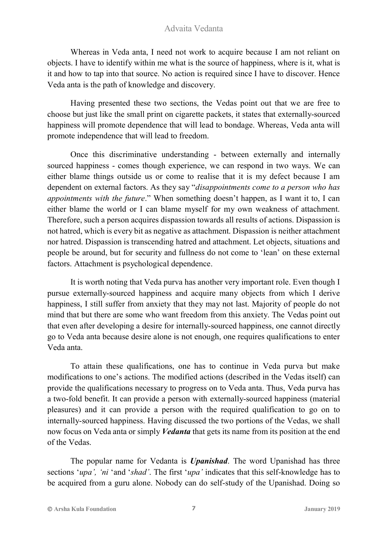Whereas in Veda anta, I need not work to acquire because I am not reliant on objects. I have to identify within me what is the source of happiness, where is it, what is it and how to tap into that source. No action is required since I have to discover. Hence Veda anta is the path of knowledge and discovery.

Having presented these two sections, the Vedas point out that we are free to choose but just like the small print on cigarette packets, it states that externally-sourced happiness will promote dependence that will lead to bondage. Whereas, Veda anta will promote independence that will lead to freedom.

Once this discriminative understanding - between externally and internally sourced happiness - comes though experience, we can respond in two ways. We can either blame things outside us or come to realise that it is my defect because I am dependent on external factors. As they say "*disappointments come to a person who has appointments with the future*." When something doesn't happen, as I want it to, I can either blame the world or I can blame myself for my own weakness of attachment. Therefore, such a person acquires dispassion towards all results of actions. Dispassion is not hatred, which is every bit as negative as attachment. Dispassion is neither attachment nor hatred. Dispassion is transcending hatred and attachment. Let objects, situations and people be around, but for security and fullness do not come to 'lean' on these external factors. Attachment is psychological dependence.

It is worth noting that Veda purva has another very important role. Even though I pursue externally-sourced happiness and acquire many objects from which I derive happiness, I still suffer from anxiety that they may not last. Majority of people do not mind that but there are some who want freedom from this anxiety. The Vedas point out that even after developing a desire for internally-sourced happiness, one cannot directly go to Veda anta because desire alone is not enough, one requires qualifications to enter Veda anta.

To attain these qualifications, one has to continue in Veda purva but make modifications to one's actions. The modified actions (described in the Vedas itself) can provide the qualifications necessary to progress on to Veda anta. Thus, Veda purva has a two-fold benefit. It can provide a person with externally-sourced happiness (material pleasures) and it can provide a person with the required qualification to go on to internally-sourced happiness. Having discussed the two portions of the Vedas, we shall now focus on Veda anta or simply *Vedanta* that gets its name from its position at the end of the Vedas.

The popular name for Vedanta is *Upanishad*. The word Upanishad has three sections '*upa', 'ni* 'and '*shad'*. The first '*upa'* indicates that this self-knowledge has to be acquired from a guru alone. Nobody can do self-study of the Upanishad. Doing so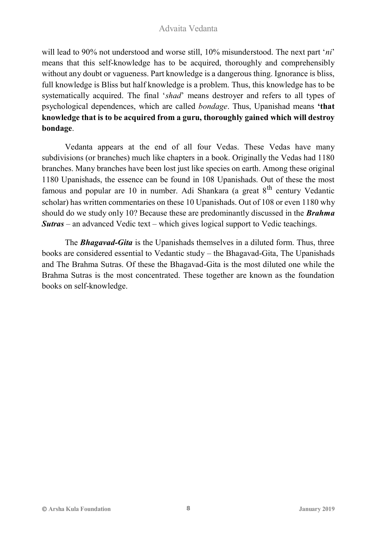will lead to 90% not understood and worse still, 10% misunderstood. The next part '*ni*' means that this self-knowledge has to be acquired, thoroughly and comprehensibly without any doubt or vagueness. Part knowledge is a dangerous thing. Ignorance is bliss, full knowledge is Bliss but half knowledge is a problem. Thus, this knowledge has to be systematically acquired. The final '*shad*' means destroyer and refers to all types of psychological dependences, which are called *bondage*. Thus, Upanishad means **'that knowledge that is to be acquired from a guru, thoroughly gained which will destroy bondage**.

Vedanta appears at the end of all four Vedas. These Vedas have many subdivisions (or branches) much like chapters in a book. Originally the Vedas had 1180 branches. Many branches have been lost just like species on earth. Among these original 1180 Upanishads, the essence can be found in 108 Upanishads. Out of these the most famous and popular are 10 in number. Adi Shankara (a great  $8<sup>th</sup>$  century Vedantic scholar) has written commentaries on these 10 Upanishads. Out of 108 or even 1180 why should do we study only 10? Because these are predominantly discussed in the *Brahma Sutras* – an advanced Vedic text – which gives logical support to Vedic teachings.

The *Bhagavad-Gita* is the Upanishads themselves in a diluted form. Thus, three books are considered essential to Vedantic study – the Bhagavad-Gita, The Upanishads and The Brahma Sutras. Of these the Bhagavad-Gita is the most diluted one while the Brahma Sutras is the most concentrated. These together are known as the foundation books on self-knowledge.